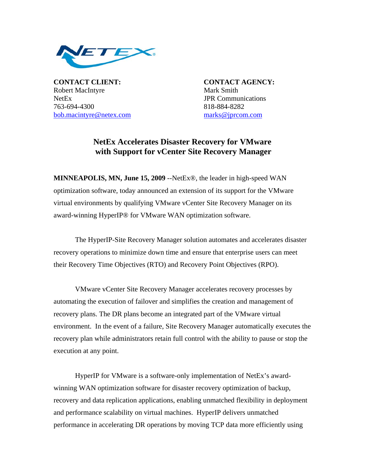

**CONTACT CLIENT: CONTACT AGENCY:** Robert MacIntyre Mark Smith NetEx **JPR** Communications 763-694-4300 818-884-8282 bob.macintyre@netex.com marks@jprcom.com

## **NetEx Accelerates Disaster Recovery for VMware with Support for vCenter Site Recovery Manager**

**MINNEAPOLIS, MN, June 15, 2009** --NetEx®, the leader in high-speed WAN optimization software, today announced an extension of its support for the VMware virtual environments by qualifying VMware vCenter Site Recovery Manager on its award-winning HyperIP® for VMware WAN optimization software.

The HyperIP-Site Recovery Manager solution automates and accelerates disaster recovery operations to minimize down time and ensure that enterprise users can meet their Recovery Time Objectives (RTO) and Recovery Point Objectives (RPO).

VMware vCenter Site Recovery Manager accelerates recovery processes by automating the execution of failover and simplifies the creation and management of recovery plans. The DR plans become an integrated part of the VMware virtual environment. In the event of a failure, Site Recovery Manager automatically executes the recovery plan while administrators retain full control with the ability to pause or stop the execution at any point.

HyperIP for VMware is a software-only implementation of NetEx's awardwinning WAN optimization software for disaster recovery optimization of backup, recovery and data replication applications, enabling unmatched flexibility in deployment and performance scalability on virtual machines. HyperIP delivers unmatched performance in accelerating DR operations by moving TCP data more efficiently using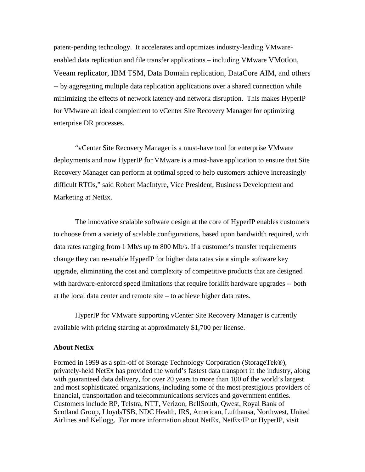patent-pending technology. It accelerates and optimizes industry-leading VMwareenabled data replication and file transfer applications – including VMware VMotion, Veeam replicator, IBM TSM, Data Domain replication, DataCore AIM, and others -- by aggregating multiple data replication applications over a shared connection while minimizing the effects of network latency and network disruption. This makes HyperIP for VMware an ideal complement to vCenter Site Recovery Manager for optimizing enterprise DR processes.

"vCenter Site Recovery Manager is a must-have tool for enterprise VMware deployments and now HyperIP for VMware is a must-have application to ensure that Site Recovery Manager can perform at optimal speed to help customers achieve increasingly difficult RTOs," said Robert MacIntyre, Vice President, Business Development and Marketing at NetEx.

The innovative scalable software design at the core of HyperIP enables customers to choose from a variety of scalable configurations, based upon bandwidth required, with data rates ranging from 1 Mb/s up to 800 Mb/s. If a customer's transfer requirements change they can re-enable HyperIP for higher data rates via a simple software key upgrade, eliminating the cost and complexity of competitive products that are designed with hardware-enforced speed limitations that require forklift hardware upgrades -- both at the local data center and remote site – to achieve higher data rates.

HyperIP for VMware supporting vCenter Site Recovery Manager is currently available with pricing starting at approximately \$1,700 per license.

## **About NetEx**

Formed in 1999 as a spin-off of Storage Technology Corporation (StorageTek®), privately-held NetEx has provided the world's fastest data transport in the industry, along with guaranteed data delivery, for over 20 years to more than 100 of the world's largest and most sophisticated organizations, including some of the most prestigious providers of financial, transportation and telecommunications services and government entities. Customers include BP, Telstra, NTT, Verizon, BellSouth, Qwest, Royal Bank of Scotland Group, LloydsTSB, NDC Health, IRS, American, Lufthansa, Northwest, United Airlines and Kellogg. For more information about NetEx, NetEx/IP or HyperIP, visit